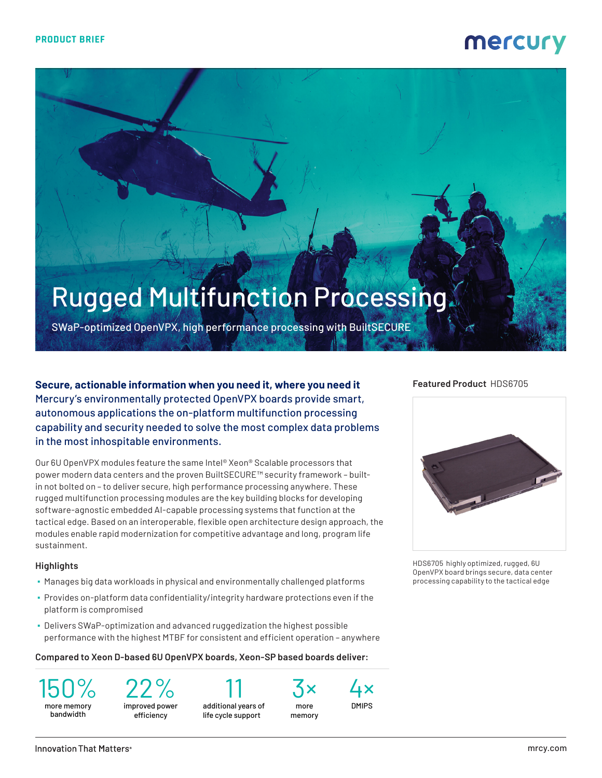## mercury

# Rugged Multifunction Processing

SWaP-optimized OpenVPX, high performance processing with BuiltSECURE

**Secure, actionable information when you need it, where you need it** Mercury's environmentally protected OpenVPX boards provide smart, autonomous applications the on-platform multifunction processing capability and security needed to solve the most complex data problems in the most inhospitable environments.

Our 6U OpenVPX modules feature the same Intel® Xeon® Scalable processors that power modern data centers and the proven BuiltSECURE™ security framework – builtin not bolted on – to deliver secure, high performance processing anywhere. These rugged multifunction processing modules are the key building blocks for developing software-agnostic embedded AI-capable processing systems that function at the tactical edge. Based on an interoperable, flexible open architecture design approach, the modules enable rapid modernization for competitive advantage and long, program life sustainment.

#### **Highlights**

- Manages big data workloads in physical and environmentally challenged platforms
- Provides on-platform data confidentiality/integrity hardware protections even if the platform is compromised
- Delivers SWaP-optimization and advanced ruggedization the highest possible performance with the highest MTBF for consistent and efficient operation – anywhere

#### **Compared to Xeon D-based 6U OpenVPX boards, Xeon-SP based boards deliver:**

150% more memory bandwidth

22% improved power

efficiency

11 additional years of life cycle support



3× more memory

4× DMIPS

### **Featured Product** HDS6705



HDS6705 highly optimized, rugged, 6U OpenVPX board brings secure, data center processing capability to the tactical edge